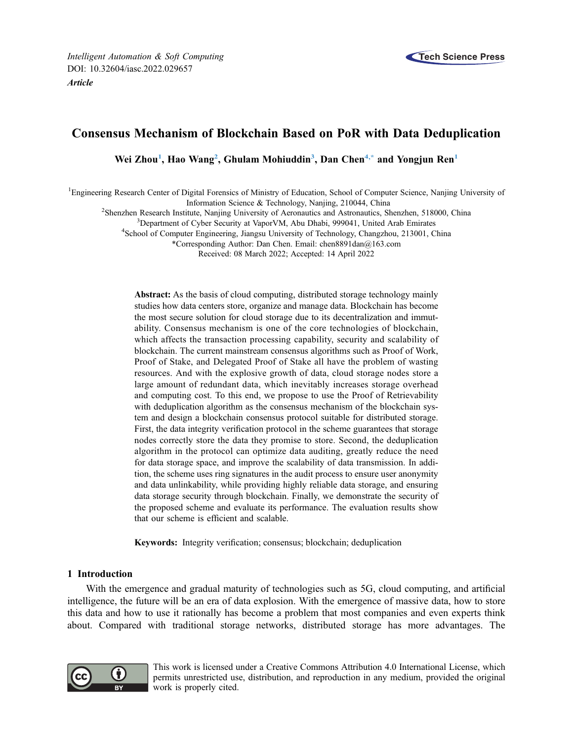# Consensus Mechanism of Blockchain Based on PoR with Data Deduplication

Wei Zhou<sup>[1](#page-0-0)</sup>, Hao Wang<sup>[2](#page-0-1)</sup>, Ghulam Mohiuddin<sup>3</sup>, Dan Chen<sup>[4,](#page-0-3)[\\*](#page-0-4)</sup> and Yongjun Ren<sup>1</sup>

<span id="page-0-3"></span><span id="page-0-2"></span><span id="page-0-1"></span><span id="page-0-0"></span><sup>1</sup>Engineering Research Center of Digital Forensics of Ministry of Education, School of Computer Science, Nanjing University of

Information Science & Technology, Nanjing, 210044, China <sup>2</sup>

<span id="page-0-4"></span><sup>2</sup>Shenzhen Research Institute, Nanjing University of Aeronautics and Astronautics, Shenzhen, 518000, China

<sup>3</sup>Department of Cyber Security at VaporVM, Abu Dhabi, 999041, United Arab Emirates

<sup>4</sup>School of Computer Engineering, Jiangsu University of Technology, Changzhou, 213001, China

\*Corresponding Author: Dan Chen. Email: [chen8891dan@163.com](mailto:chen8891dan@163.com)

Received: 08 March 2022; Accepted: 14 April 2022

Abstract: As the basis of cloud computing, distributed storage technology mainly studies how data centers store, organize and manage data. Blockchain has become the most secure solution for cloud storage due to its decentralization and immutability. Consensus mechanism is one of the core technologies of blockchain, which affects the transaction processing capability, security and scalability of blockchain. The current mainstream consensus algorithms such as Proof of Work, Proof of Stake, and Delegated Proof of Stake all have the problem of wasting resources. And with the explosive growth of data, cloud storage nodes store a large amount of redundant data, which inevitably increases storage overhead and computing cost. To this end, we propose to use the Proof of Retrievability with deduplication algorithm as the consensus mechanism of the blockchain system and design a blockchain consensus protocol suitable for distributed storage. First, the data integrity verification protocol in the scheme guarantees that storage nodes correctly store the data they promise to store. Second, the deduplication algorithm in the protocol can optimize data auditing, greatly reduce the need for data storage space, and improve the scalability of data transmission. In addition, the scheme uses ring signatures in the audit process to ensure user anonymity and data unlinkability, while providing highly reliable data storage, and ensuring data storage security through blockchain. Finally, we demonstrate the security of the proposed scheme and evaluate its performance. The evaluation results show that our scheme is efficient and scalable.

Keywords: Integrity verification; consensus; blockchain; deduplication

# 1 Introduction

With the emergence and gradual maturity of technologies such as 5G, cloud computing, and artificial intelligence, the future will be an era of data explosion. With the emergence of massive data, how to store this data and how to use it rationally has become a problem that most companies and even experts think about. Compared with traditional storage networks, distributed storage has more advantages. The



This work is licensed under a Creative Commons Attribution 4.0 International License, which permits unrestricted use, distribution, and reproduction in any medium, provided the original work is properly cited.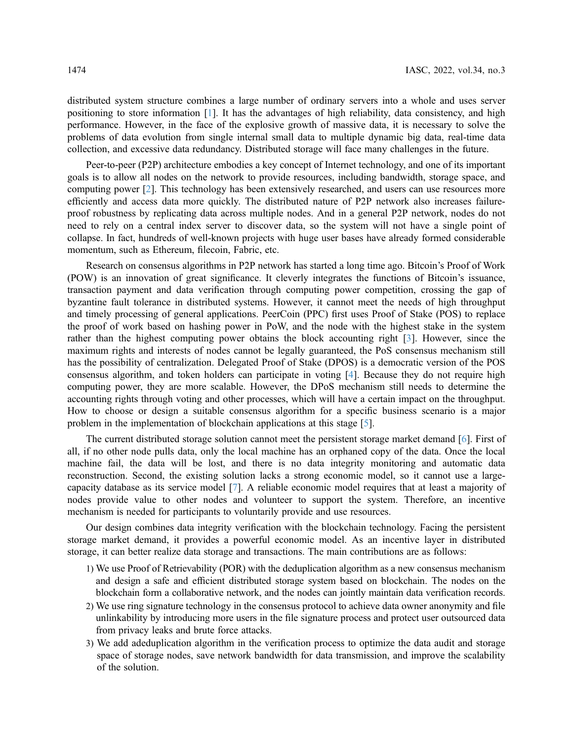distributed system structure combines a large number of ordinary servers into a whole and uses server positioning to store information [[1](#page-13-0)]. It has the advantages of high reliability, data consistency, and high performance. However, in the face of the explosive growth of massive data, it is necessary to solve the problems of data evolution from single internal small data to multiple dynamic big data, real-time data collection, and excessive data redundancy. Distributed storage will face many challenges in the future.

Peer-to-peer (P2P) architecture embodies a key concept of Internet technology, and one of its important goals is to allow all nodes on the network to provide resources, including bandwidth, storage space, and computing power [\[2](#page-13-1)]. This technology has been extensively researched, and users can use resources more efficiently and access data more quickly. The distributed nature of P2P network also increases failureproof robustness by replicating data across multiple nodes. And in a general P2P network, nodes do not need to rely on a central index server to discover data, so the system will not have a single point of collapse. In fact, hundreds of well-known projects with huge user bases have already formed considerable momentum, such as Ethereum, filecoin, Fabric, etc.

Research on consensus algorithms in P2P network has started a long time ago. Bitcoin's Proof of Work (POW) is an innovation of great significance. It cleverly integrates the functions of Bitcoin's issuance, transaction payment and data verification through computing power competition, crossing the gap of byzantine fault tolerance in distributed systems. However, it cannot meet the needs of high throughput and timely processing of general applications. PeerCoin (PPC) first uses Proof of Stake (POS) to replace the proof of work based on hashing power in PoW, and the node with the highest stake in the system rather than the highest computing power obtains the block accounting right [\[3\]](#page-13-2). However, since the maximum rights and interests of nodes cannot be legally guaranteed, the PoS consensus mechanism still has the possibility of centralization. Delegated Proof of Stake (DPOS) is a democratic version of the POS consensus algorithm, and token holders can participate in voting [\[4\]](#page-13-3). Because they do not require high computing power, they are more scalable. However, the DPoS mechanism still needs to determine the accounting rights through voting and other processes, which will have a certain impact on the throughput. How to choose or design a suitable consensus algorithm for a specific business scenario is a major problem in the implementation of blockchain applications at this stage [[5](#page-13-4)].

The current distributed storage solution cannot meet the persistent storage market demand [\[6\]](#page-13-5). First of all, if no other node pulls data, only the local machine has an orphaned copy of the data. Once the local machine fail, the data will be lost, and there is no data integrity monitoring and automatic data reconstruction. Second, the existing solution lacks a strong economic model, so it cannot use a largecapacity database as its service model [\[7\]](#page-13-6). A reliable economic model requires that at least a majority of nodes provide value to other nodes and volunteer to support the system. Therefore, an incentive mechanism is needed for participants to voluntarily provide and use resources.

Our design combines data integrity verification with the blockchain technology. Facing the persistent storage market demand, it provides a powerful economic model. As an incentive layer in distributed storage, it can better realize data storage and transactions. The main contributions are as follows:

- 1) We use Proof of Retrievability (POR) with the deduplication algorithm as a new consensus mechanism and design a safe and efficient distributed storage system based on blockchain. The nodes on the blockchain form a collaborative network, and the nodes can jointly maintain data verification records.
- 2) We use ring signature technology in the consensus protocol to achieve data owner anonymity and file unlinkability by introducing more users in the file signature process and protect user outsourced data from privacy leaks and brute force attacks.
- 3) We add adeduplication algorithm in the verification process to optimize the data audit and storage space of storage nodes, save network bandwidth for data transmission, and improve the scalability of the solution.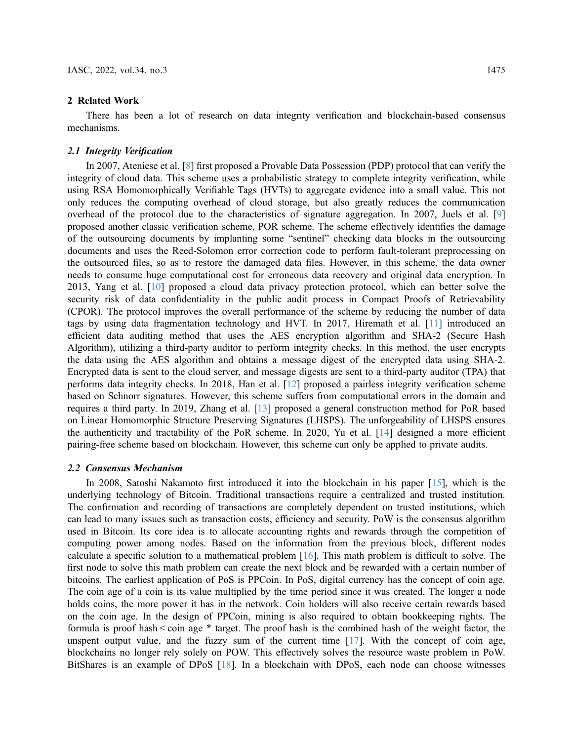### 2 Related Work

There has been a lot of research on data integrity verification and blockchain-based consensus mechanisms.

# 2.1 Integrity Verification

In 2007, Ateniese et al. [\[8\]](#page-13-7) first proposed a Provable Data Possession (PDP) protocol that can verify the integrity of cloud data. This scheme uses a probabilistic strategy to complete integrity verification, while using RSA Homomorphically Verifiable Tags (HVTs) to aggregate evidence into a small value. This not only reduces the computing overhead of cloud storage, but also greatly reduces the communication overhead of the protocol due to the characteristics of signature aggregation. In 2007, Juels et al. [\[9\]](#page-13-8) proposed another classic verification scheme, POR scheme. The scheme effectively identifies the damage of the outsourcing documents by implanting some "sentinel" checking data blocks in the outsourcing documents and uses the Reed-Solomon error correction code to perform fault-tolerant preprocessing on the outsourced files, so as to restore the damaged data files. However, in this scheme, the data owner needs to consume huge computational cost for erroneous data recovery and original data encryption. In 2013, Yang et al. [\[10](#page-13-9)] proposed a cloud data privacy protection protocol, which can better solve the security risk of data confidentiality in the public audit process in Compact Proofs of Retrievability (CPOR). The protocol improves the overall performance of the scheme by reducing the number of data tags by using data fragmentation technology and HVT. In 2017, Hiremath et al. [\[11](#page-13-10)] introduced an efficient data auditing method that uses the AES encryption algorithm and SHA-2 (Secure Hash Algorithm), utilizing a third-party auditor to perform integrity checks. In this method, the user encrypts the data using the AES algorithm and obtains a message digest of the encrypted data using SHA-2. Encrypted data is sent to the cloud server, and message digests are sent to a third-party auditor (TPA) that performs data integrity checks. In 2018, Han et al. [\[12](#page-13-11)] proposed a pairless integrity verification scheme based on Schnorr signatures. However, this scheme suffers from computational errors in the domain and requires a third party. In 2019, Zhang et al. [\[13](#page-13-12)] proposed a general construction method for PoR based on Linear Homomorphic Structure Preserving Signatures (LHSPS). The unforgeability of LHSPS ensures the authenticity and tractability of the PoR scheme. In 2020, Yu et al. [\[14](#page-13-13)] designed a more efficient pairing-free scheme based on blockchain. However, this scheme can only be applied to private audits.

### 2.2 Consensus Mechanism

In 2008, Satoshi Nakamoto first introduced it into the blockchain in his paper [\[15](#page-13-14)], which is the underlying technology of Bitcoin. Traditional transactions require a centralized and trusted institution. The confirmation and recording of transactions are completely dependent on trusted institutions, which can lead to many issues such as transaction costs, efficiency and security. PoW is the consensus algorithm used in Bitcoin. Its core idea is to allocate accounting rights and rewards through the competition of computing power among nodes. Based on the information from the previous block, different nodes calculate a specific solution to a mathematical problem [[16\]](#page-13-15). This math problem is difficult to solve. The first node to solve this math problem can create the next block and be rewarded with a certain number of bitcoins. The earliest application of PoS is PPCoin. In PoS, digital currency has the concept of coin age. The coin age of a coin is its value multiplied by the time period since it was created. The longer a node holds coins, the more power it has in the network. Coin holders will also receive certain rewards based on the coin age. In the design of PPCoin, mining is also required to obtain bookkeeping rights. The formula is proof hash < coin age \* target. The proof hash is the combined hash of the weight factor, the unspent output value, and the fuzzy sum of the current time [[17\]](#page-13-16). With the concept of coin age, blockchains no longer rely solely on POW. This effectively solves the resource waste problem in PoW. BitShares is an example of DPoS [\[18](#page-13-17)]. In a blockchain with DPoS, each node can choose witnesses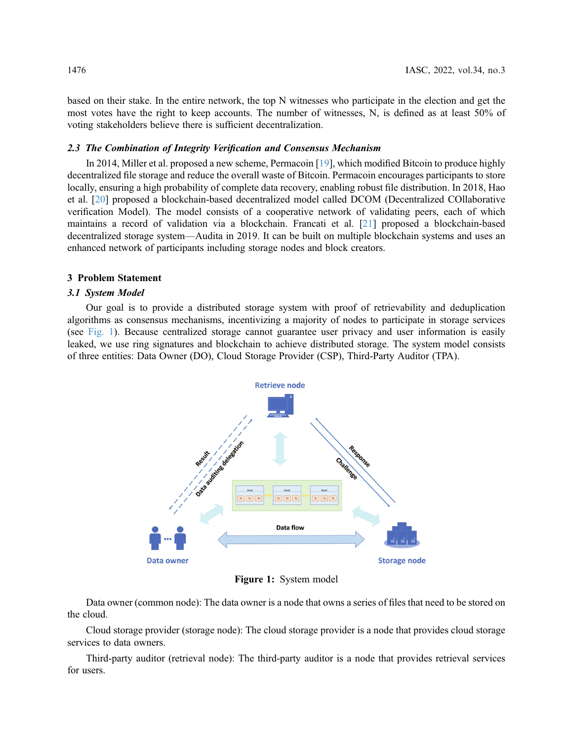based on their stake. In the entire network, the top N witnesses who participate in the election and get the most votes have the right to keep accounts. The number of witnesses, N, is defined as at least 50% of voting stakeholders believe there is sufficient decentralization.

# 2.3 The Combination of Integrity Verification and Consensus Mechanism

In 2014, Miller et al. proposed a new scheme, Permacoin [\[19](#page-14-0)], which modified Bitcoin to produce highly decentralized file storage and reduce the overall waste of Bitcoin. Permacoin encourages participants to store locally, ensuring a high probability of complete data recovery, enabling robust file distribution. In 2018, Hao et al. [[20\]](#page-14-1) proposed a blockchain-based decentralized model called DCOM (Decentralized COllaborative verification Model). The model consists of a cooperative network of validating peers, each of which maintains a record of validation via a blockchain. Francati et al. [[21\]](#page-14-2) proposed a blockchain-based decentralized storage system—Audita in 2019. It can be built on multiple blockchain systems and uses an enhanced network of participants including storage nodes and block creators.

### 3 Problem Statement

### 3.1 System Model

<span id="page-3-0"></span>Our goal is to provide a distributed storage system with proof of retrievability and deduplication algorithms as consensus mechanisms, incentivizing a majority of nodes to participate in storage services (see [Fig. 1\)](#page-3-0). Because centralized storage cannot guarantee user privacy and user information is easily leaked, we use ring signatures and blockchain to achieve distributed storage. The system model consists of three entities: Data Owner (DO), Cloud Storage Provider (CSP), Third-Party Auditor (TPA).



Figure 1: System model

Data owner (common node): The data owner is a node that owns a series of files that need to be stored on the cloud.

Cloud storage provider (storage node): The cloud storage provider is a node that provides cloud storage services to data owners.

Third-party auditor (retrieval node): The third-party auditor is a node that provides retrieval services for users.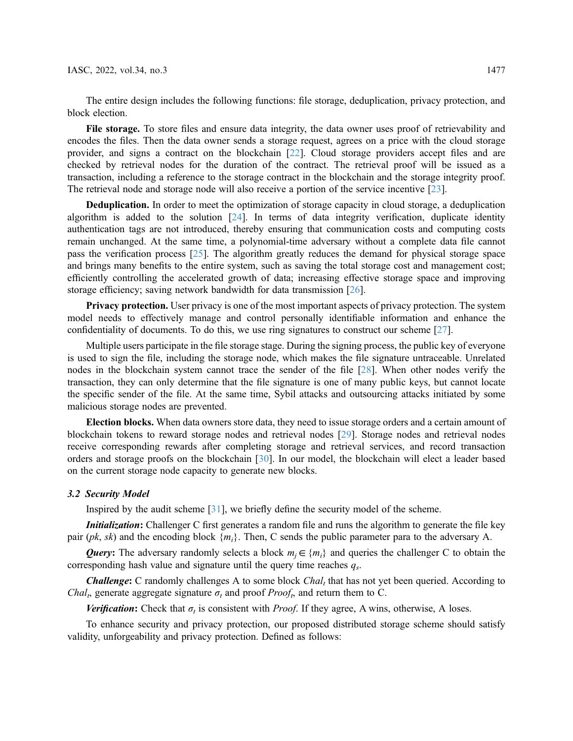The entire design includes the following functions: file storage, deduplication, privacy protection, and block election.

File storage. To store files and ensure data integrity, the data owner uses proof of retrievability and encodes the files. Then the data owner sends a storage request, agrees on a price with the cloud storage provider, and signs a contract on the blockchain [[22\]](#page-14-3). Cloud storage providers accept files and are checked by retrieval nodes for the duration of the contract. The retrieval proof will be issued as a transaction, including a reference to the storage contract in the blockchain and the storage integrity proof. The retrieval node and storage node will also receive a portion of the service incentive [[23\]](#page-14-4).

Deduplication. In order to meet the optimization of storage capacity in cloud storage, a deduplication algorithm is added to the solution  $[24]$  $[24]$ . In terms of data integrity verification, duplicate identity authentication tags are not introduced, thereby ensuring that communication costs and computing costs remain unchanged. At the same time, a polynomial-time adversary without a complete data file cannot pass the verification process [\[25](#page-14-6)]. The algorithm greatly reduces the demand for physical storage space and brings many benefits to the entire system, such as saving the total storage cost and management cost; efficiently controlling the accelerated growth of data; increasing effective storage space and improving storage efficiency; saving network bandwidth for data transmission [[26\]](#page-14-7).

Privacy protection. User privacy is one of the most important aspects of privacy protection. The system model needs to effectively manage and control personally identifiable information and enhance the confidentiality of documents. To do this, we use ring signatures to construct our scheme [\[27](#page-14-8)].

Multiple users participate in the file storage stage. During the signing process, the public key of everyone is used to sign the file, including the storage node, which makes the file signature untraceable. Unrelated nodes in the blockchain system cannot trace the sender of the file [[28\]](#page-14-9). When other nodes verify the transaction, they can only determine that the file signature is one of many public keys, but cannot locate the specific sender of the file. At the same time, Sybil attacks and outsourcing attacks initiated by some malicious storage nodes are prevented.

Election blocks. When data owners store data, they need to issue storage orders and a certain amount of blockchain tokens to reward storage nodes and retrieval nodes [[29\]](#page-14-10). Storage nodes and retrieval nodes receive corresponding rewards after completing storage and retrieval services, and record transaction orders and storage proofs on the blockchain [[30](#page-14-11)]. In our model, the blockchain will elect a leader based on the current storage node capacity to generate new blocks.

# 3.2 Security Model

Inspired by the audit scheme [[31\]](#page-14-12), we briefly define the security model of the scheme.

Initialization: Challenger C first generates a random file and runs the algorithm to generate the file key pair (*pk*, *sk*) and the encoding block  $\{m_i\}$ . Then, C sends the public parameter para to the adversary A.

Query: The adversary randomly selects a block  $m_i \in \{m_i\}$  and queries the challenger C to obtain the corresponding hash value and signature until the query time reaches  $q_s$ .

**Challenge:** C randomly challenges A to some block  $Chal$ , that has not yet been queried. According to Chal<sub>t</sub>, generate aggregate signature  $\sigma_t$  and proof Proof<sub>t</sub>, and return them to C.

Verification: Check that  $\sigma_t$  is consistent with *Proof*. If they agree, A wins, otherwise, A loses.

To enhance security and privacy protection, our proposed distributed storage scheme should satisfy validity, unforgeability and privacy protection. Defined as follows: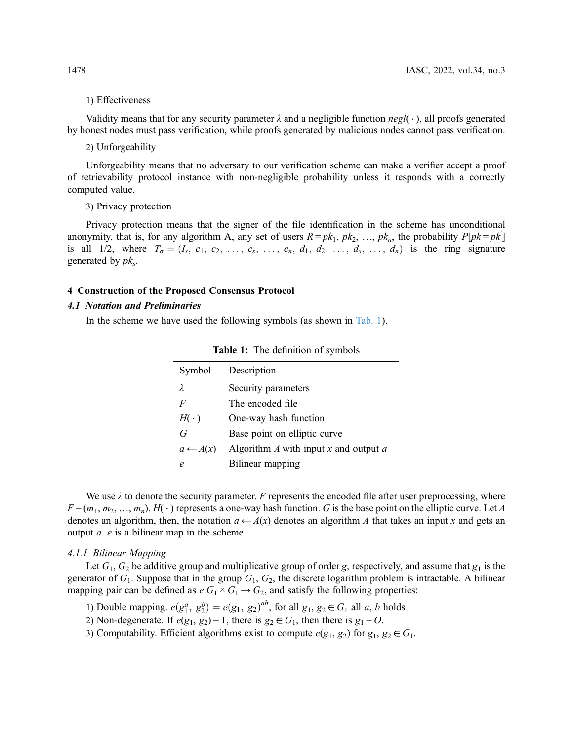# 1) Effectiveness

Validity means that for any security parameter  $\lambda$  and a negligible function  $neg(\cdot)$ , all proofs generated by honest nodes must pass verification, while proofs generated by malicious nodes cannot pass verification.

# 2) Unforgeability

Unforgeability means that no adversary to our verification scheme can make a verifier accept a proof of retrievability protocol instance with non-negligible probability unless it responds with a correctly computed value.

3) Privacy protection

Privacy protection means that the signer of the file identification in the scheme has unconditional anonymity, that is, for any algorithm A, any set of users  $R = pk_1$ ,  $pk_2$ , ...,  $pk_n$ , the probability  $P[pk = pk']$ is all 1/2, where  $T_{\sigma} = (I_s, c_1, c_2, \ldots, c_s, \ldots, c_n, d_1, d_2, \ldots, d_s, \ldots, d_n)$  is the ring signature generated by  $pk_s$ .

# 4 Construction of the Proposed Consensus Protocol

# 4.1 Notation and Preliminaries

In the scheme we have used the following symbols (as shown in [Tab. 1](#page-5-0)).

<span id="page-5-0"></span>

| Symbol              | Description                                            |
|---------------------|--------------------------------------------------------|
| λ                   | Security parameters                                    |
| F                   | The encoded file                                       |
| $H(\cdot)$          | One-way hash function                                  |
| G                   | Base point on elliptic curve                           |
| $a \leftarrow A(x)$ | Algorithm $\Lambda$ with input $x$ and output $\alpha$ |
| e                   | Bilinear mapping                                       |

Table 1: The definition of symbols

We use  $\lambda$  to denote the security parameter. F represents the encoded file after user preprocessing, where  $F = (m_1, m_2, ..., m_n)$ .  $H(\cdot)$  represents a one-way hash function. G is the base point on the elliptic curve. Let A denotes an algorithm, then, the notation  $a \leftarrow A(x)$  denotes an algorithm A that takes an input x and gets an output a. e is a bilinear map in the scheme.

#### 4.1.1 Bilinear Mapping

Let  $G_1, G_2$  be additive group and multiplicative group of order g, respectively, and assume that  $g_1$  is the generator of  $G_1$ . Suppose that in the group  $G_1$ ,  $G_2$ , the discrete logarithm problem is intractable. A bilinear mapping pair can be defined as  $e:G_1 \times G_1 \rightarrow G_2$ , and satisfy the following properties:

- 1) Double mapping.  $e(g_1^a, g_2^b) = e(g_1, g_2)^{ab}$ , for all  $g_1, g_2 \in G_1$  all a, b holds<br>2) Non degenerate If  $e(g_1, g_2) = 1$ , there is  $g_1 \in G_1$ , then there is  $g_2 = O_1$
- 2) Non-degenerate. If  $e(g_1, g_2) = 1$ , there is  $g_2 \in G_1$ , then there is  $g_1 = O$ .
- 3) Computability. Efficient algorithms exist to compute  $e(g_1, g_2)$  for  $g_1, g_2 \in G_1$ .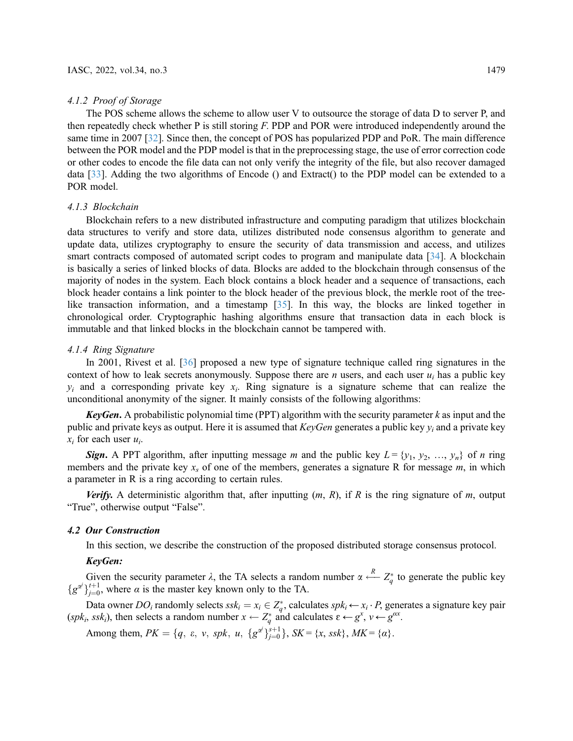#### 4.1.2 Proof of Storage

The POS scheme allows the scheme to allow user V to outsource the storage of data D to server P, and then repeatedly check whether P is still storing F. PDP and POR were introduced independently around the same time in 2007 [\[32](#page-14-13)]. Since then, the concept of POS has popularized PDP and PoR. The main difference between the POR model and the PDP model is that in the preprocessing stage, the use of error correction code or other codes to encode the file data can not only verify the integrity of the file, but also recover damaged data [\[33](#page-14-14)]. Adding the two algorithms of Encode () and Extract() to the PDP model can be extended to a POR model.

# 4.1.3 Blockchain

Blockchain refers to a new distributed infrastructure and computing paradigm that utilizes blockchain data structures to verify and store data, utilizes distributed node consensus algorithm to generate and update data, utilizes cryptography to ensure the security of data transmission and access, and utilizes smart contracts composed of automated script codes to program and manipulate data [[34](#page-14-15)]. A blockchain is basically a series of linked blocks of data. Blocks are added to the blockchain through consensus of the majority of nodes in the system. Each block contains a block header and a sequence of transactions, each block header contains a link pointer to the block header of the previous block, the merkle root of the treelike transaction information, and a timestamp [\[35\]](#page-14-16). In this way, the blocks are linked together in chronological order. Cryptographic hashing algorithms ensure that transaction data in each block is immutable and that linked blocks in the blockchain cannot be tampered with.

## 4.1.4 Ring Signature

In 2001, Rivest et al. [\[36](#page-14-17)] proposed a new type of signature technique called ring signatures in the context of how to leak secrets anonymously. Suppose there are *n* users, and each user  $u_i$  has a public key  $v_i$  and a corresponding private key  $x_i$ . Ring signature is a signature scheme that can realize the unconditional anonymity of the signer. It mainly consists of the following algorithms:

**KeyGen.** A probabilistic polynomial time (PPT) algorithm with the security parameter  $k$  as input and the public and private keys as output. Here it is assumed that  $KeyGen$  generates a public key  $y_i$  and a private key  $x_i$  for each user  $u_i$ .

**Sign.** A PPT algorithm, after inputting message m and the public key  $L = \{y_1, y_2, ..., y_n\}$  of n ring members and the private key  $x_s$  of one of the members, generates a signature R for message  $m$ , in which a parameter in R is a ring according to certain rules.

**Verify.** A deterministic algorithm that, after inputting  $(m, R)$ , if R is the ring signature of m, output "True", otherwise output "False".

# 4.2 Our Construction

In this section, we describe the construction of the proposed distributed storage consensus protocol.

# KeyGen:

Given the security parameter  $\lambda$ , the TA selects a random number  $\alpha \stackrel{\Lambda}{\longleftarrow}$ <br> $u^{t+1}$  where  $\alpha$  is the master key known only to the TA  $\frac{R}{q}$  Z<sub>q</sub><sup>\*</sup> to generate the public key  ${g^{\alpha}}_{j=0}^{t+1}$ , where  $\alpha$  is the master key known only to the TA.

Data owner  $DO_i$  randomly selects  $ssk_i = x_i \in Z_q^*$ , calculates  $spk_i \leftarrow x_i \cdot P$ , generates a signature key pair<br>  $(s \nleq k_i)$ , then selects a random number  $x \leftarrow Z^*$  and calculates  $s \leftarrow \sigma^x$ ,  $y \leftarrow \sigma^{\alpha x}$  $(spk_i, ssk_i)$ , then selects a random number  $x \leftarrow Z_q^*$  and calculates  $\varepsilon \leftarrow g^x$ ,  $v \leftarrow g^{ax}$ .

Among them,  $PK = \{q, \varepsilon, v, spk, u, \{g^{\alpha^j}\}_{j=0}^{s+1}\}, SK = \{x, ssk\}, MK = \{\alpha\}.$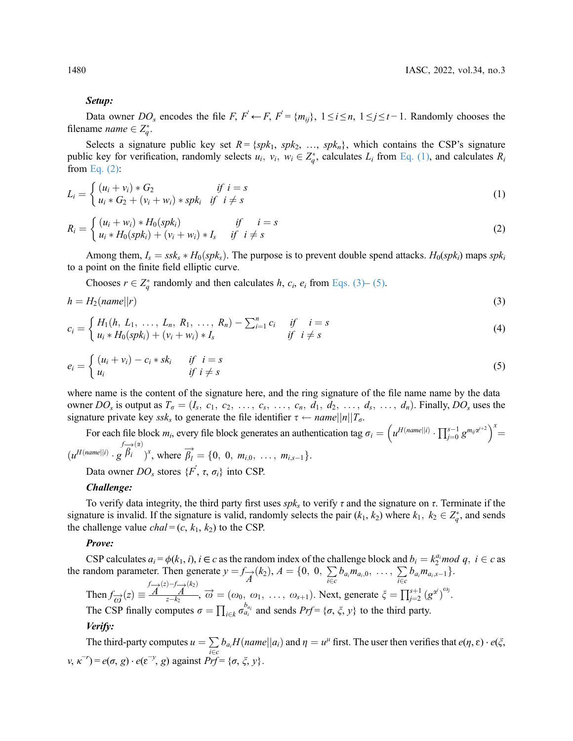#### Setup:

Data owner DO<sub>s</sub> encodes the file F,  $F' \leftarrow F$ ,  $F' = \{m_{ij}\}, 1 \le i \le n, 1 \le j \le t-1$ . Randomly chooses the filename *name*  $\in Z_q^*$ .

<span id="page-7-0"></span>Selects a signature public key set  $R = \{spk_1, spk_2, ..., spk_n\}$ , which contains the CSP's signature public key for verification, randomly selects  $u_i$ ,  $v_i$ ,  $w_i \in Z_q^*$ , calculates  $L_i$  from [Eq. \(1\),](#page-7-0) and calculates  $R_i$  from Eq. (2). from [Eq. \(2\):](#page-7-1)

<span id="page-7-1"></span>
$$
L_i = \begin{cases} (u_i + v_i) * G_2 & \text{if } i = s \\ u_i * G_2 + (v_i + w_i) * spk_i & \text{if } i \neq s \end{cases}
$$
 (1)

$$
R_i = \begin{cases} (u_i + w_i) * H_0(spk_i) & \text{if } i = s \\ u_i * H_0(spk_i) + (v_i + w_i) * I_s & \text{if } i \neq s \end{cases}
$$
 (2)

Among them,  $I_s = ssk_s * H_0(spk_s)$ . The purpose is to prevent double spend attacks.  $H_0(spk_i)$  maps  $spk_i$ to a point on the finite field elliptic curve.

<span id="page-7-2"></span>Chooses  $r \in Z_q^*$  randomly and then calculates  $h$ ,  $c_i$ ,  $e_i$  from [Eqs. \(3\)](#page-7-2)– [\(5\)](#page-7-3).

$$
h = H_2(name||r) \tag{3}
$$

<span id="page-7-3"></span>
$$
c_i = \begin{cases} H_1(h, L_1, \ldots, L_n, R_1, \ldots, R_n) - \sum_{i=1}^n c_i & \text{if } i = s \\ u_i * H_0(spk_i) + (v_i + w_i) * I_s & \text{if } i \neq s \end{cases}
$$
(4)

$$
e_i = \begin{cases} (u_i + v_i) - c_i * sk_i & \text{if } i = s \\ u_i & \text{if } i \neq s \end{cases}
$$
 (5)

where name is the content of the signature here, and the ring signature of the file name name by the data owner DO<sub>s</sub> is output as  $T_{\sigma} = (I_s, c_1, c_2, \ldots, c_s, \ldots, c_n, d_1, d_2, \ldots, d_s, \ldots, d_n)$ . Finally, DO<sub>s</sub> uses the signature private key ssks to generate the file identifier  $\tau \leftarrow name||n||T_{\sigma}$ .

For each file block m<sub>i</sub>, every file block generates an authentication tag  $\sigma_i = \left(u^{H(name||i)} \cdot \prod_{j=0}^{s-1} g^{m_{ij}x^{j+2}}\right)^{x}$  $(u^{H(name||i)} \cdot g)$  $\int_{\vec{B}_i}^{f(x)} \vec{B}_i^{(x)}$ , where  $\overrightarrow{\beta}_l^j = \{0, 0, m_{i,0}, \dots, m_{i,s-1}\}.$ 

Data owner  $DO_s$  stores  $\{F, \tau, \sigma_i\}$  into CSP.

#### Challenge:

To verify data integrity, the third party first uses  $spk<sub>s</sub>$  to verify  $\tau$  and the signature on  $\tau$ . Terminate if the signature is invalid. If the signature is valid, randomly selects the pair  $(k_1, k_2)$  where  $k_1, k_2 \in Z_q^*$ , and sends<br>the challenge value chal = (c, k, k) to the CSP the challenge value *chal* =  $(c, k_1, k_2)$  to the CSP.

#### Prove:

CSP calculates  $a_i = \phi(k_1, i)$ ,  $i \in c$  as the random index of the challenge block and  $b_i = k_2^{a_i} \mod q$ ,  $i \in c$  as andom parameter. Then generate  $y = f(x|k_1) - 4 = \{0, 0, \sum h, m_1, \sum h, m_2, \sum h, m_3, \sum h, m_4, \sum h, m_5, \sum h, m_6, \sum h, m_7, \sum$ the random parameter. Then generate  $y = f_{\overrightarrow{A}}(k_2)$ ,  $A = \{0, 0, \sum_{i \in C} b_{a_i} m_{a_i,0}, \dots, \sum_{i \in C} b_{a_i} m_{a_i,s-1}\}.$  $i \in c$   $i \in c$ 

Then  $f_{\overrightarrow{\omega}}(z) \equiv$ <br>Then  $f_{\overrightarrow{\omega}}(z) =$  $\overrightarrow{A}^{(z)-f} \overrightarrow{A}^{(k_2)}$  $\overrightarrow{A}$ ,  $\overrightarrow{\omega} = (\omega_0, \omega_1, \ldots, \omega_{s+1})$ . Next, generate  $\xi = \prod_{j=2}^{s+1} (g^{\alpha^j})$  $\omega_j$ .

The CSP finally computes  $\sigma = \prod_{i \in k} \sigma_{a_i}^{b_{a_i}}$  and sends  $Prf = {\sigma, \xi, y}$  to the third party.

# Verify:

The third-party computes  $u = \sum_{i \in c} b_{a_i} H(name||a_i)$  and  $\eta = u^{\mu}$  first. The user then verifies that  $e(\eta, \varepsilon) \cdot e(\xi, \eta)$  $ν, κ<sup>-r</sup>$ ) =  $e(σ, g) \cdot e(ε<sup>-y</sup>, g)$  against  $Prf = {σ, ξ, y}$ .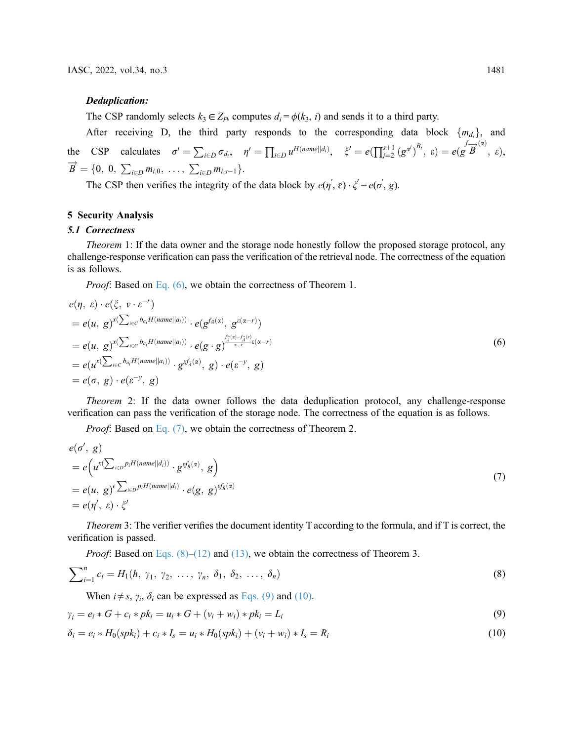#### Deduplication:

The CSP randomly selects  $k_3 \in Z_p$ , computes  $d_i = \phi(k_3, i)$  and sends it to a third party.

After receiving D, the third party responds to the corresponding data block  $\{m_{d_i}\}\$ , and the CSP calculates  $\sigma' = \sum_{i \in D} \sigma_{d_i}, \quad \eta' = \prod_{i \in D} u^{H(name||d_i)}, \quad \xi' = e(\prod_{j=2}^{s+1} (g^{\alpha^j}))$  $B_j, \varepsilon$ ) =  $e(g\overrightarrow{B}^{(\alpha)}, \varepsilon),$  $B = \{0, 0, \sum_{i \in D} m_{i,0}, \dots, \sum_{i \in D} m_{i,s-1}\}.$ 

The CSP then verifies the integrity of the data block by  $e(\eta, \varepsilon) \cdot \xi' = e(\sigma, g)$ .

# 5 Security Analysis

### 5.1 Correctness

Theorem 1: If the data owner and the storage node honestly follow the proposed storage protocol, any challenge-response verification can pass the verification of the retrieval node. The correctness of the equation is as follows.

<span id="page-8-0"></span>Proof: Based on [Eq. \(6\)](#page-8-0), we obtain the correctness of Theorem 1.

$$
e(\eta, \varepsilon) \cdot e(\xi, \nu \cdot \varepsilon^{-r})
$$
  
=  $e(u, g)^{x(\sum_{i \in C} b_{a_i} H(name||a_i))} \cdot e(g^{f_{\vec{\omega}}(\alpha)}, g^{\varepsilon(\alpha-r)})$   
=  $e(u, g)^{x(\sum_{i \in C} b_{a_i} H(name||a_i))} \cdot e(g \cdot g)^{\frac{f_{\vec{\omega}}(\alpha) - f_{\vec{\omega}}(r)}{\alpha-r}} \cdot e(u \cdot \sum_{i \in C} b_{a_i} H(name||a_i)) \cdot g^{x f_{\vec{\omega}}(\alpha)}, g) \cdot e(\varepsilon^{-y}, g)$   
=  $e(\sigma, g) \cdot e(\varepsilon^{-y}, g)$  (6)

Theorem 2: If the data owner follows the data deduplication protocol, any challenge-response verification can pass the verification of the storage node. The correctness of the equation is as follows.

<span id="page-8-1"></span>Proof: Based on [Eq. \(7\)](#page-8-1), we obtain the correctness of Theorem 2.

$$
e(\sigma', g)
$$
  
=  $e(u^x(\sum_{i \in D} p_i H(name||d_i)) \cdot g^{g f_{\vec{B}}(\alpha)}, g)$   
=  $e(u, g)^{\epsilon} \sum_{i \in D} p_i H(name||d_i) \cdot e(g, g)^{g f_{\vec{B}}(\alpha)}$   
=  $e(\eta', \epsilon) \cdot \zeta'$  (7)

Theorem 3: The verifier verifies the document identity T according to the formula, and if T is correct, the verification is passed.

<span id="page-8-2"></span>*Proof*: Based on Eqs.  $(8)$ – $(12)$  and  $(13)$ , we obtain the correctness of Theorem 3.

$$
\sum_{i=1}^{n} c_i = H_1(h, \gamma_1, \gamma_2, \ldots, \gamma_n, \delta_1, \delta_2, \ldots, \delta_n)
$$
\n(8)

<span id="page-8-3"></span>When  $i \neq s$ ,  $\gamma_i$ ,  $\delta_i$  can be expressed as [Eqs. \(9\)](#page-8-3) and [\(10\)](#page-8-4).

<span id="page-8-4"></span>
$$
\gamma_i = e_i * G + c_i * pk_i = u_i * G + (v_i + w_i) * pk_i = L_i
$$
\n(9)

$$
\delta_i = e_i * H_0(spk_i) + c_i * I_s = u_i * H_0(spk_i) + (v_i + w_i) * I_s = R_i
$$
\n(10)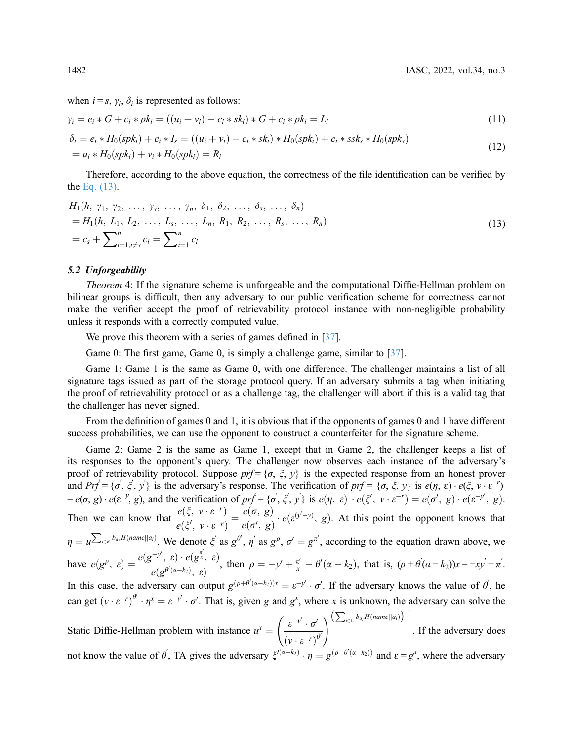when  $i = s$ ,  $\gamma_i$ ,  $\delta_i$  is represented as follows:

<span id="page-9-0"></span>
$$
\gamma_i = e_i * G + c_i * pk_i = ((u_i + v_i) - c_i * sk_i) * G + c_i * pk_i = L_i
$$
\n(11)

$$
\delta_i = e_i * H_0(spk_i) + c_i * I_s = ((u_i + v_i) - c_i * sk_i) * H_0(spk_i) + c_i * ssk_s * H_0(spk_s)
$$
  
=  $u_i * H_0(spk_i) + v_i * H_0(spk_i) = R_i$  (12)

<span id="page-9-1"></span>Therefore, according to the above equation, the correctness of the file identification can be verified by the [Eq. \(13\).](#page-9-1)

$$
H_1(h, \gamma_1, \gamma_2, \ldots, \gamma_s, \ldots, \gamma_n, \delta_1, \delta_2, \ldots, \delta_s, \ldots, \delta_n)
$$
  
=  $H_1(h, L_1, L_2, \ldots, L_s, \ldots, L_n, R_1, R_2, \ldots, R_s, \ldots, R_n)$   
=  $c_s + \sum_{i=1, i \neq s}^n c_i = \sum_{i=1}^n c_i$  (13)

### 5.2 Unforgeability

Theorem 4: If the signature scheme is unforgeable and the computational Diffie-Hellman problem on bilinear groups is difficult, then any adversary to our public verification scheme for correctness cannot make the verifier accept the proof of retrievability protocol instance with non-negligible probability unless it responds with a correctly computed value.

We prove this theorem with a series of games defined in [\[37](#page-14-18)].

Game 0: The first game, Game 0, is simply a challenge game, similar to [\[37](#page-14-18)].

Game 1: Game 1 is the same as Game 0, with one difference. The challenger maintains a list of all signature tags issued as part of the storage protocol query. If an adversary submits a tag when initiating the proof of retrievability protocol or as a challenge tag, the challenger will abort if this is a valid tag that the challenger has never signed.

From the definition of games 0 and 1, it is obvious that if the opponents of games 0 and 1 have different success probabilities, we can use the opponent to construct a counterfeiter for the signature scheme.

Game 2: Game 2 is the same as Game 1, except that in Game 2, the challenger keeps a list of its responses to the opponent's query. The challenger now observes each instance of the adversary's proof of retrievability protocol. Suppose  $prf = \{\sigma, \xi, y\}$  is the expected response from an honest prover and  $Prf = \{\sigma, \xi, y'\}$  is the adversary's response. The verification of  $prf = \{\sigma, \xi, y\}$  is  $e(\eta, \varepsilon) \cdot e(\xi, v \cdot \varepsilon^{-r})$  $= e(\sigma, g) \cdot e(\varepsilon^{-y}, g)$ , and the verification of  $prf = {\sigma', \xi', y'}$  is  $e(\eta, \varepsilon) \cdot e(\xi', \nu \cdot \varepsilon^{-r}) = e(\sigma', g) \cdot e(\varepsilon^{-y'}, g)$ . Then we can know that  $\frac{e(\xi, v \cdot \varepsilon^{-r})}{e(\xi, v \cdot \varepsilon^{-r})}$  $\frac{e(\xi, v \cdot \varepsilon^{-r})}{e(\xi', v \cdot \varepsilon^{-r})} = \frac{e(\sigma, g)}{e(\sigma', g)} \cdot e(\varepsilon^{(y'-y)}, g)$ . At this point the opponent knows that  $\overline{a}$  $\eta = u^{\sum_{i \in K} b_{a_i} H(name||a_i)}$ . We denote  $\xi$  as  $g^{\theta'}$ ,  $\eta'$  as  $g^{\rho}$ ,  $\sigma' = g^{\pi'}$ , according to the equation drawn above, we have  $e(g^{\rho}, \varepsilon) = \frac{e(g^{-y'}, \varepsilon) \cdot e(g^{\frac{\pi}{x}}, \varepsilon)}{e(g^{\theta'(\alpha-k_2)}, \varepsilon)}$ In this case, the adversary can output  $g^{(\rho+\theta'(\alpha-k_2))x} = \varepsilon^{-y'} \cdot \sigma'$ . If the adversary knows the value of  $\theta'$ , he  $\frac{\kappa}{(\alpha-k_2)}$ ,  $\frac{\kappa}{\kappa}$ , then  $\rho = -y' + \frac{\pi'}{x} - \theta'(\alpha-k_2)$ , that is,  $(\rho + \theta'(\alpha-k_2))x = -xy' + \pi'$ . can get  $(v \cdot \varepsilon^{-r})^{\theta'} \cdot \eta^x = \varepsilon^{-y'} \cdot \sigma'$ . That is, given g and  $g^x$ , where x is unknown, the adversary can solve the  $\overline{a}$ Static Diffie-Hellman problem with instance  $u^x = \left(\frac{\varepsilon^{-y'} \cdot \sigma'}{(v \cdot \varepsilon^{-r})^6}\right)$  $(\nu \cdot \varepsilon^{-r})^{\theta'}$ not know the value of  $\theta'$ , TA gives the adversary  $\xi^{(\alpha-k_2)} \cdot \eta = g^{(\rho+\theta'(\alpha-k_2))}$  and  $\varepsilon = g^x$ , where the adversary  $\int_{\mathcal{E}} e^{-y'} \cdot \sigma' \, \sum_{i \in C} b_{a_i} H(name||a_i) \bigg)^{-1}$ . If the adversary does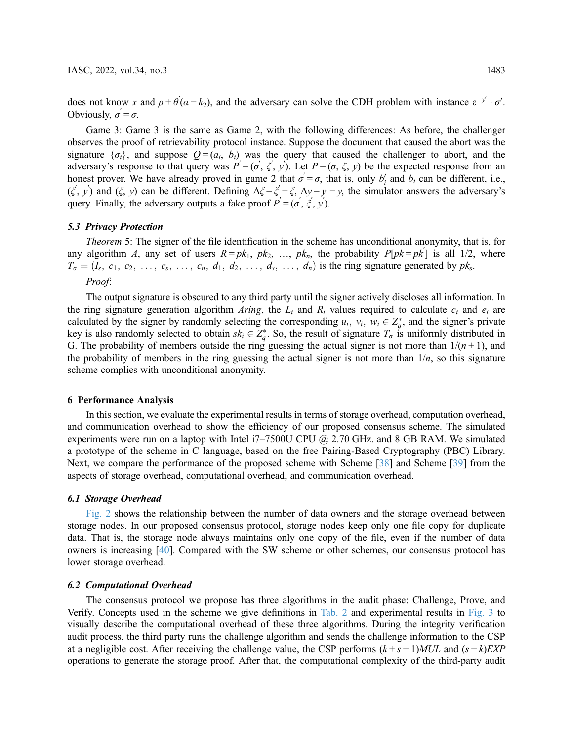does not know x and  $\rho + \theta'(\alpha - k_2)$ , and the adversary can solve the CDH problem with instance  $\varepsilon^{-y'} \cdot \sigma'$ .<br>Obviously  $\sigma' = \sigma$ Obviously,  $\sigma' = \sigma$ .

Game 3: Game 3 is the same as Game 2, with the following differences: As before, the challenger observes the proof of retrievability protocol instance. Suppose the document that caused the abort was the signature  $\{\sigma_i\}$ , and suppose  $Q = (a_i, b_i)$  was the query that caused the challenger to abort, and the adversary's response to that query was  $P' = (\sigma, \xi, y)$ . Let  $P = (\sigma, \xi, y)$  be the expected response from an honest prover. We have already proved in game 2 that  $\sigma = \sigma$ , that is, only  $b'_i$  and  $b_i$  can be different, i.e.,  $(\xi', y')$  and  $(\xi, y)$  can be different. Defining  $\Delta \xi = \xi' - \xi$ ,  $\Delta y = y' - y$ , the simulator answers the adversary's query. Finally, the adversary outputs a fake proof  $P' = (\sigma', \xi', y')$ .

## 5.3 Privacy Protection

Theorem 5: The signer of the file identification in the scheme has unconditional anonymity, that is, for any algorithm A, any set of users  $R = pk_1$ ,  $pk_2$ , ...,  $pk_n$ , the probability  $P[pk = pk']$  is all 1/2, where  $T_{\sigma} = (I_s, c_1, c_2, \ldots, c_s, \ldots, c_n, d_1, d_2, \ldots, d_s, \ldots, d_n)$  is the ring signature generated by pk<sub>s</sub>. Proof:

The output signature is obscured to any third party until the signer actively discloses all information. In the ring signature generation algorithm Aring, the  $L_i$  and  $R_i$  values required to calculate  $c_i$  and  $e_i$  are calculated by the signer by randomly selecting the corresponding  $u_i$ ,  $v_i$ ,  $w_i \in Z_q^*$ , and the signer's private<br>key is also randomly selected to obtain  $sk \in Z^*$ . So, the result of signature T, is uniformly distributed i key is also randomly selected to obtain  $sk_i \in Z_q^*$ . So, the result of signature  $T_{\sigma}$  is uniformly distributed in<br>G. The probability of members outside the ring quessing the actual signer is not more than  $1/(n+1)$  and G. The probability of members outside the ring guessing the actual signer is not more than  $1/(n + 1)$ , and the probability of members in the ring guessing the actual signer is not more than  $1/n$ , so this signature scheme complies with unconditional anonymity.

### 6 Performance Analysis

In this section, we evaluate the experimental results in terms of storage overhead, computation overhead, and communication overhead to show the efficiency of our proposed consensus scheme. The simulated experiments were run on a laptop with Intel  $i7-7500U$  CPU  $\omega$  2.70 GHz. and 8 GB RAM. We simulated a prototype of the scheme in C language, based on the free Pairing-Based Cryptography (PBC) Library. Next, we compare the performance of the proposed scheme with Scheme [\[38](#page-14-19)] and Scheme [\[39](#page-15-0)] from the aspects of storage overhead, computational overhead, and communication overhead.

#### 6.1 Storage Overhead

[Fig. 2](#page-11-0) shows the relationship between the number of data owners and the storage overhead between storage nodes. In our proposed consensus protocol, storage nodes keep only one file copy for duplicate data. That is, the storage node always maintains only one copy of the file, even if the number of data owners is increasing [\[40](#page-15-1)]. Compared with the SW scheme or other schemes, our consensus protocol has lower storage overhead.

### 6.2 Computational Overhead

The consensus protocol we propose has three algorithms in the audit phase: Challenge, Prove, and Verify. Concepts used in the scheme we give definitions in [Tab. 2](#page-11-1) and experimental results in [Fig. 3](#page-12-0) to visually describe the computational overhead of these three algorithms. During the integrity verification audit process, the third party runs the challenge algorithm and sends the challenge information to the CSP at a negligible cost. After receiving the challenge value, the CSP performs  $(k+s-1)MUL$  and  $(s+k)EXP$ operations to generate the storage proof. After that, the computational complexity of the third-party audit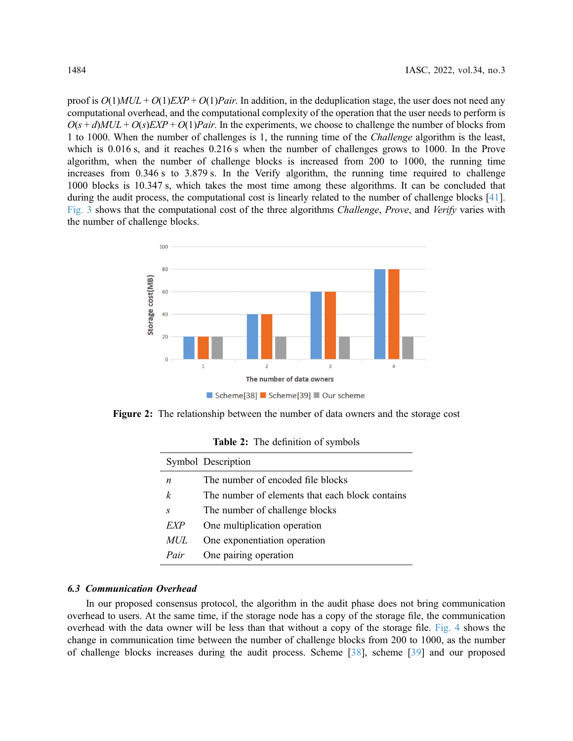proof is  $O(1)MUL + O(1)EXP + O(1)Pair$ . In addition, in the deduplication stage, the user does not need any computational overhead, and the computational complexity of the operation that the user needs to perform is  $O(s + d)MUL + O(s)EXP + O(1)Pair$ . In the experiments, we choose to challenge the number of blocks from 1 to 1000. When the number of challenges is 1, the running time of the Challenge algorithm is the least, which is 0.016 s, and it reaches 0.216 s when the number of challenges grows to 1000. In the Prove algorithm, when the number of challenge blocks is increased from 200 to 1000, the running time increases from 0.346 s to 3.879 s. In the Verify algorithm, the running time required to challenge 1000 blocks is 10.347 s, which takes the most time among these algorithms. It can be concluded that during the audit process, the computational cost is linearly related to the number of challenge blocks [[41\]](#page-15-2). [Fig. 3](#page-12-0) shows that the computational cost of the three algorithms Challenge, Prove, and Verify varies with the number of challenge blocks.

<span id="page-11-0"></span>

Figure 2: The relationship between the number of data owners and the storage cost

<span id="page-11-1"></span>

| Symbol Description |                                                 |
|--------------------|-------------------------------------------------|
| n                  | The number of encoded file blocks               |
| k                  | The number of elements that each block contains |
| $\mathcal{S}$      | The number of challenge blocks                  |
| EXP                | One multiplication operation                    |
| MUL                | One exponentiation operation                    |
| Pair               | One pairing operation                           |

Table 2: The definition of symbols

# 6.3 Communication Overhead

In our proposed consensus protocol, the algorithm in the audit phase does not bring communication overhead to users. At the same time, if the storage node has a copy of the storage file, the communication overhead with the data owner will be less than that without a copy of the storage file. [Fig. 4](#page-12-1) shows the change in communication time between the number of challenge blocks from 200 to 1000, as the number of challenge blocks increases during the audit process. Scheme [\[38](#page-14-19)], scheme [\[39](#page-15-0)] and our proposed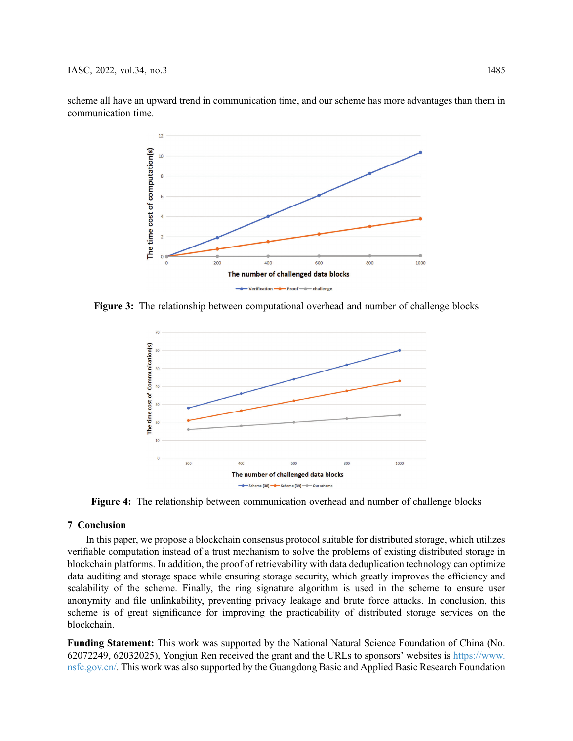<span id="page-12-0"></span>scheme all have an upward trend in communication time, and our scheme has more advantages than them in communication time.



<span id="page-12-1"></span>Figure 3: The relationship between computational overhead and number of challenge blocks



Figure 4: The relationship between communication overhead and number of challenge blocks

# 7 Conclusion

In this paper, we propose a blockchain consensus protocol suitable for distributed storage, which utilizes verifiable computation instead of a trust mechanism to solve the problems of existing distributed storage in blockchain platforms. In addition, the proof of retrievability with data deduplication technology can optimize data auditing and storage space while ensuring storage security, which greatly improves the efficiency and scalability of the scheme. Finally, the ring signature algorithm is used in the scheme to ensure user anonymity and file unlinkability, preventing privacy leakage and brute force attacks. In conclusion, this scheme is of great significance for improving the practicability of distributed storage services on the blockchain.

Funding Statement: This work was supported by the National Natural Science Foundation of China (No. 62072249, 62032025), Yongjun Ren received the grant and the URLs to sponsors' websites is [https://www.](https://www.nsfc.gov.cn/) [nsfc.gov.cn/](https://www.nsfc.gov.cn/). This work was also supported by the Guangdong Basic and Applied Basic Research Foundation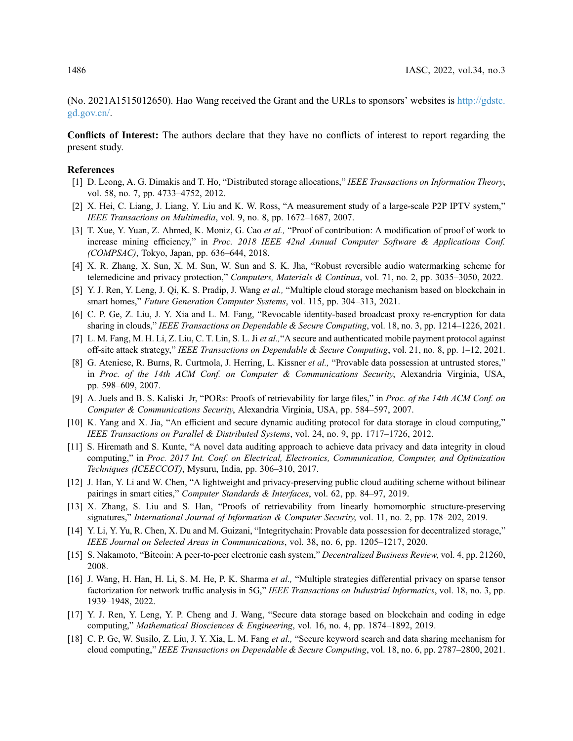(No. 2021A1515012650). Hao Wang received the Grant and the URLs to sponsors' websites is [http://gdstc.](http://gdstc.gd.gov.cn/) [gd.gov.cn/](http://gdstc.gd.gov.cn/).

Conflicts of Interest: The authors declare that they have no conflicts of interest to report regarding the present study.

#### <span id="page-13-0"></span>References

- [1] D. Leong, A. G. Dimakis and T. Ho, "Distributed storage allocations," IEEE Transactions on Information Theory, vol. 58, no. 7, pp. 4733–4752, 2012.
- <span id="page-13-1"></span>[2] X. Hei, C. Liang, J. Liang, Y. Liu and K. W. Ross, "A measurement study of a large-scale P2P IPTV system," IEEE Transactions on Multimedia, vol. 9, no. 8, pp. 1672–1687, 2007.
- <span id="page-13-2"></span>[3] T. Xue, Y. Yuan, Z. Ahmed, K. Moniz, G. Cao et al., "Proof of contribution: A modification of proof of work to increase mining efficiency," in Proc. 2018 IEEE 42nd Annual Computer Software & Applications Conf. (COMPSAC), Tokyo, Japan, pp. 636–644, 2018.
- <span id="page-13-3"></span>[4] X. R. Zhang, X. Sun, X. M. Sun, W. Sun and S. K. Jha, "Robust reversible audio watermarking scheme for telemedicine and privacy protection," Computers, Materials & Continua, vol. 71, no. 2, pp. 3035-3050, 2022.
- <span id="page-13-4"></span>[5] Y. J. Ren, Y. Leng, J. Qi, K. S. Pradip, J. Wang et al., "Multiple cloud storage mechanism based on blockchain in smart homes," Future Generation Computer Systems, vol. 115, pp. 304–313, 2021.
- <span id="page-13-5"></span>[6] C. P. Ge, Z. Liu, J. Y. Xia and L. M. Fang, "Revocable identity-based broadcast proxy re-encryption for data sharing in clouds," IEEE Transactions on Dependable & Secure Computing, vol. 18, no. 3, pp. 1214–1226, 2021.
- <span id="page-13-6"></span>[7] L. M. Fang, M. H. Li, Z. Liu, C. T. Lin, S. L. Ji et al., "A secure and authenticated mobile payment protocol against off-site attack strategy," IEEE Transactions on Dependable & Secure Computing, vol. 21, no. 8, pp. 1–12, 2021.
- <span id="page-13-7"></span>[8] G. Ateniese, R. Burns, R. Curtmola, J. Herring, L. Kissner *et al.*, "Provable data possession at untrusted stores," in Proc. of the 14th ACM Conf. on Computer & Communications Security, Alexandria Virginia, USA, pp. 598–609, 2007.
- <span id="page-13-8"></span>[9] A. Juels and B. S. Kaliski Jr, "PORs: Proofs of retrievability for large files," in *Proc. of the 14th ACM Conf. on* Computer & Communications Security, Alexandria Virginia, USA, pp. 584–597, 2007.
- <span id="page-13-9"></span>[10] K. Yang and X. Jia, "An efficient and secure dynamic auditing protocol for data storage in cloud computing," IEEE Transactions on Parallel & Distributed Systems, vol. 24, no. 9, pp. 1717–1726, 2012.
- <span id="page-13-10"></span>[11] S. Hiremath and S. Kunte, "A novel data auditing approach to achieve data privacy and data integrity in cloud computing," in Proc. 2017 Int. Conf. on Electrical, Electronics, Communication, Computer, and Optimization Techniques (ICEECCOT), Mysuru, India, pp. 306–310, 2017.
- <span id="page-13-11"></span>[12] J. Han, Y. Li and W. Chen, "A lightweight and privacy-preserving public cloud auditing scheme without bilinear pairings in smart cities," Computer Standards & Interfaces, vol. 62, pp. 84-97, 2019.
- <span id="page-13-12"></span>[13] X. Zhang, S. Liu and S. Han, "Proofs of retrievability from linearly homomorphic structure-preserving signatures," International Journal of Information & Computer Security, vol. 11, no. 2, pp. 178–202, 2019.
- <span id="page-13-13"></span>[14] Y. Li, Y. Yu, R. Chen, X. Du and M. Guizani, "Integritychain: Provable data possession for decentralized storage," IEEE Journal on Selected Areas in Communications, vol. 38, no. 6, pp. 1205–1217, 2020.
- <span id="page-13-14"></span>[15] S. Nakamoto, "Bitcoin: A peer-to-peer electronic cash system," Decentralized Business Review, vol. 4, pp. 21260, 2008.
- <span id="page-13-15"></span>[16] J. Wang, H. Han, H. Li, S. M. He, P. K. Sharma et al., "Multiple strategies differential privacy on sparse tensor factorization for network traffic analysis in 5G," IEEE Transactions on Industrial Informatics, vol. 18, no. 3, pp. 1939–1948, 2022.
- <span id="page-13-16"></span>[17] Y. J. Ren, Y. Leng, Y. P. Cheng and J. Wang, "Secure data storage based on blockchain and coding in edge computing," Mathematical Biosciences & Engineering, vol. 16, no. 4, pp. 1874–1892, 2019.
- <span id="page-13-17"></span>[18] C. P. Ge, W. Susilo, Z. Liu, J. Y. Xia, L. M. Fang et al., "Secure keyword search and data sharing mechanism for cloud computing," IEEE Transactions on Dependable & Secure Computing, vol. 18, no. 6, pp. 2787–2800, 2021.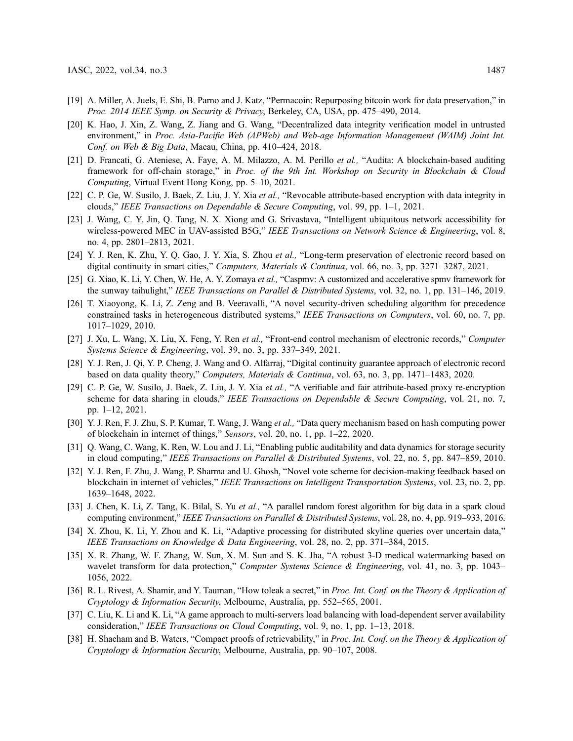- <span id="page-14-0"></span>[19] A. Miller, A. Juels, E. Shi, B. Parno and J. Katz, "Permacoin: Repurposing bitcoin work for data preservation," in Proc. 2014 IEEE Symp. on Security & Privacy, Berkeley, CA, USA, pp. 475–490, 2014.
- <span id="page-14-1"></span>[20] K. Hao, J. Xin, Z. Wang, Z. Jiang and G. Wang, "Decentralized data integrity verification model in untrusted environment," in Proc. Asia-Pacific Web (APWeb) and Web-age Information Management (WAIM) Joint Int. Conf. on Web & Big Data, Macau, China, pp. 410–424, 2018.
- <span id="page-14-2"></span>[21] D. Francati, G. Ateniese, A. Faye, A. M. Milazzo, A. M. Perillo et al., "Audita: A blockchain-based auditing framework for off-chain storage," in Proc. of the 9th Int. Workshop on Security in Blockchain & Cloud Computing, Virtual Event Hong Kong, pp. 5–10, 2021.
- <span id="page-14-3"></span>[22] C. P. Ge, W. Susilo, J. Baek, Z. Liu, J. Y. Xia et al., "Revocable attribute-based encryption with data integrity in clouds," IEEE Transactions on Dependable & Secure Computing, vol. 99, pp. 1–1, 2021.
- <span id="page-14-4"></span>[23] J. Wang, C. Y. Jin, Q. Tang, N. X. Xiong and G. Srivastava, "Intelligent ubiquitous network accessibility for wireless-powered MEC in UAV-assisted B5G," IEEE Transactions on Network Science & Engineering, vol. 8, no. 4, pp. 2801–2813, 2021.
- <span id="page-14-5"></span>[24] Y. J. Ren, K. Zhu, Y. Q. Gao, J. Y. Xia, S. Zhou et al., "Long-term preservation of electronic record based on digital continuity in smart cities," Computers, Materials & Continua, vol. 66, no. 3, pp. 3271–3287, 2021.
- <span id="page-14-6"></span>[25] G. Xiao, K. Li, Y. Chen, W. He, A. Y. Zomaya et al., "Caspmy: A customized and accelerative spmy framework for the sunway taihulight," IEEE Transactions on Parallel & Distributed Systems, vol. 32, no. 1, pp. 131–146, 2019.
- <span id="page-14-7"></span>[26] T. Xiaoyong, K. Li, Z. Zeng and B. Veeravalli, "A novel security-driven scheduling algorithm for precedence constrained tasks in heterogeneous distributed systems," IEEE Transactions on Computers, vol. 60, no. 7, pp. 1017–1029, 2010.
- <span id="page-14-8"></span>[27] J. Xu, L. Wang, X. Liu, X. Feng, Y. Ren et al., "Front-end control mechanism of electronic records," Computer Systems Science & Engineering, vol. 39, no. 3, pp. 337–349, 2021.
- <span id="page-14-9"></span>[28] Y. J. Ren, J. Qi, Y. P. Cheng, J. Wang and O. Alfarraj, "Digital continuity guarantee approach of electronic record based on data quality theory," Computers, Materials & Continua, vol. 63, no. 3, pp. 1471–1483, 2020.
- <span id="page-14-10"></span>[29] C. P. Ge, W. Susilo, J. Baek, Z. Liu, J. Y. Xia et al., "A verifiable and fair attribute-based proxy re-encryption scheme for data sharing in clouds," IEEE Transactions on Dependable & Secure Computing, vol. 21, no. 7, pp. 1–12, 2021.
- <span id="page-14-11"></span>[30] Y. J. Ren, F. J. Zhu, S. P. Kumar, T. Wang, J. Wang et al., "Data query mechanism based on hash computing power of blockchain in internet of things," Sensors, vol. 20, no. 1, pp. 1–22, 2020.
- <span id="page-14-12"></span>[31] Q. Wang, C. Wang, K. Ren, W. Lou and J. Li, "Enabling public auditability and data dynamics for storage security in cloud computing," IEEE Transactions on Parallel & Distributed Systems, vol. 22, no. 5, pp. 847–859, 2010.
- <span id="page-14-13"></span>[32] Y. J. Ren, F. Zhu, J. Wang, P. Sharma and U. Ghosh, "Novel vote scheme for decision-making feedback based on blockchain in internet of vehicles," IEEE Transactions on Intelligent Transportation Systems, vol. 23, no. 2, pp. 1639–1648, 2022.
- <span id="page-14-14"></span>[33] J. Chen, K. Li, Z. Tang, K. Bilal, S. Yu et al., "A parallel random forest algorithm for big data in a spark cloud computing environment," IEEE Transactions on Parallel & Distributed Systems, vol. 28, no. 4, pp. 919–933, 2016.
- <span id="page-14-15"></span>[34] X. Zhou, K. Li, Y. Zhou and K. Li, "Adaptive processing for distributed skyline queries over uncertain data," IEEE Transactions on Knowledge & Data Engineering, vol. 28, no. 2, pp. 371–384, 2015.
- <span id="page-14-16"></span>[35] X. R. Zhang, W. F. Zhang, W. Sun, X. M. Sun and S. K. Jha, "A robust 3-D medical watermarking based on wavelet transform for data protection," Computer Systems Science & Engineering, vol. 41, no. 3, pp. 1043– 1056, 2022.
- <span id="page-14-17"></span>[36] R. L. Rivest, A. Shamir, and Y. Tauman, "How toleak a secret," in Proc. Int. Conf. on the Theory & Application of Cryptology & Information Security, Melbourne, Australia, pp. 552–565, 2001.
- <span id="page-14-18"></span>[37] C. Liu, K. Li and K. Li, "A game approach to multi-servers load balancing with load-dependent server availability consideration," IEEE Transactions on Cloud Computing, vol. 9, no. 1, pp. 1–13, 2018.
- <span id="page-14-19"></span>[38] H. Shacham and B. Waters, "Compact proofs of retrievability," in Proc. Int. Conf. on the Theory & Application of Cryptology & Information Security, Melbourne, Australia, pp. 90–107, 2008.